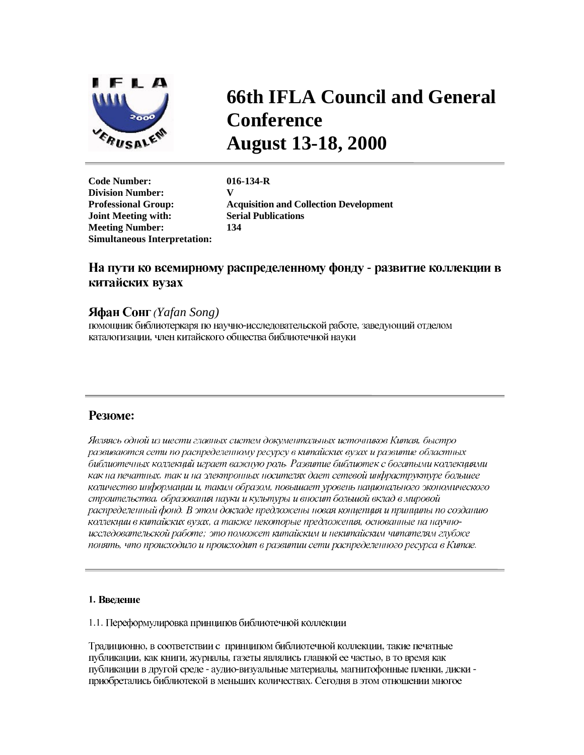

# **66th IFLA Council and General Conference August 13-18, 2000**

**Code Number: 016-134-R Division Number: V Joint Meeting with: Serial Publications Meeting Number: 134 Simultaneous Interpretation:** 

**Professional Group: Acquisition and Collection Development** 

# На пути ко всемирному распределенному фонду - развитие коллекции в китайских вузах

# *(Yafan Song)*

помощник библиотеркаря по научно-исследовательской работе, заведующий отделом каталогизации, член китайского общества библиотечной науки

# **Резюме:**

Являясь одной из шести главных систем документальных источников Китая, быстро развиваются сети по распределенному ресурсу в китайских вузах и развитие областных библиотечных коллекций играет важную роль. Развитие библиотек с богатыми коллекциями как на печатных, так и на электронных носителях дает сетевой инфраструктуре большее количество информации и, таким образом, повышает уровень национального экономического строительства, образования науки и культуры и вносит большой вклад в мировой распределенный фонд. В этом докладе предложены новая концепция и принципы по созданию коллекции в китайских вузах, а также некоторые предложения, основанные на научноисследовательской работе; это поможет китайским и некитайским читателям глубже понять, что происходило и происходит в развитии сети распределенного ресурса в Китае.

# 1. Введение

1.1. Переформулировка принципов библиотечной коллекции

Традиционно, в соответствии с принципом библиотечной коллекции, такие печатные публикации, как книги, журналы, газеты являлись главной ее частью, в то время как публикации в другой среде - аудио-визуальные материалы, магнитофонные пленки, диски приобретались библиотекой в меньших количествах. Сегодня в этом отношении многое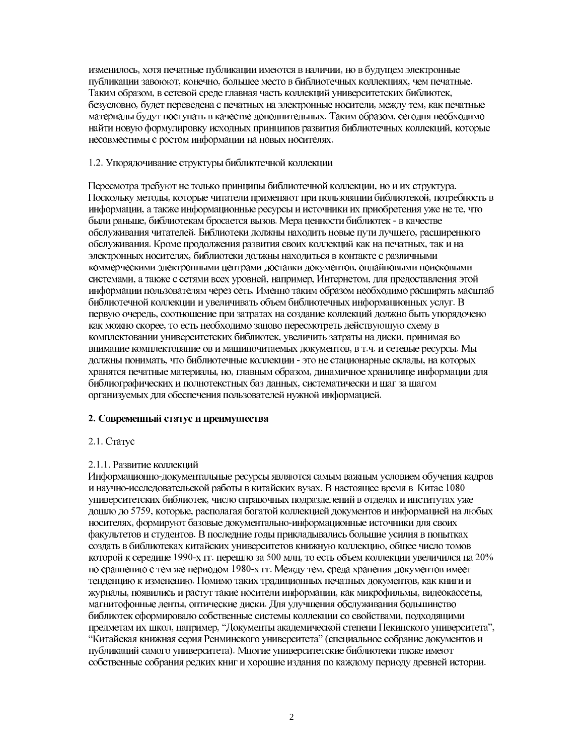изменилось, хотя печатные публикации имеются в наличии, но в будущем электронные публикации завоюют, конечно, большее место в библиотечных коллекциях, чем печатные. Таким образом, в сетевой среде главная часть коллекций университетских библиотек, безусловно, будет переведена с печатных на электронные носители, между тем, как печатные материалы будут поступать в качестве дополнительных. Таким образом, сегодня необходимо найти новую формулировку исходных принципов развития библиотечных коллекций, которые несовместимы с ростом информации на новых носителях.

### 1.2. Упорядочивание структуры библиотечной коллекции

Пересмотра требуют не только принципы библиотечной коллекции, но и их структура. Поскольку методы, которые читатели применяют при пользовании библиотекой, потребность в информации, а также информационные ресурсы и источники их приобретения уже не те, что были раньше, библиотекам бросается вызов. Мера ценности библиотек - в качестве обслуживания читателей. Библиотеки должны находить новые пути лучшего, расширенного обслуживания. Кроме продолжения развития своих коллекций как на печатных, так и на электронных носителях, библиотеки должны находиться в контакте с различными коммерческими электронными центрами доставки документов, онлайновыми поисковыми системами, а также с сетями всех уровней, например, Интернетом, для предоставления этой информации пользователям через сеть. Именно таким образом необходимо расширять масштаб библиотечной коллекции и увеличивать объем библиотечных информационных услуг. В первую очередь, соотношение при затратах на создание коллекций должно быть упорядочено как можно скорее, то есть необходимо заново пересмотреть действующую схему в комплектовании университетских библиотек, увеличить затраты на диски, принимая во внимание комплектование ов и машиночитаемых документов, в т.ч. и сетевые ресурсы. Мы должны понимать, что библиотечные коллекции - это не стационарные склады, на которых хранятся печатные материалы, но, главным образом, динамичное хранилище информации для библиографических и полнотекстных баз данных, систематически и шаг за шагом организуемых для обеспечения пользователей нужной информацией.

# 2. Современный статус и преимущества

# 2.1. Craryc

# 2.1.1. Развитие коллекций

Информационно-документальные ресурсы являются самым важным условием обучения кадров и научно-исследовательской работы в китайских вузах. В настоящее время в Китае 1080 университетских библиотек, число справочных подразделений в отделах и институтах уже дошло до 5759, которые, располагая богатой коллекцией документов и информацией на любых носителях, формируют базовые документально-информационные источники для своих факультетов и студентов. В последние годы прикладывались большие усилия в попытках создать в библиотеках китайских университетов книжную коллекцию, общее число томов которой к середине 1990-х гг. перешло за 500 млн, то есть объем коллекции увеличился на 20% по сравнению с тем же периодом 1980-х гг. Между тем, среда хранения документов имеет тенденцию к изменению. Помимо таких традиционных печатных документов, как книги и журналы, появились и растут такие носители информации, как микрофильмы, видеокассеты, магнитофонные ленты, оптические диски. Для улучшения обслуживания большинство библиотек сформировало собственные системы коллекции со свойствами, подходящими предметам их школ, например, "Документы академической степени Пекинского университета", "Китайская книжная серия Ренминского университета" (специальное собрание документов и публикаций самого университета). Многие университетские библиотеки также имеют собственные собрания редких книг и хорошие издания по каждому периоду древней истории.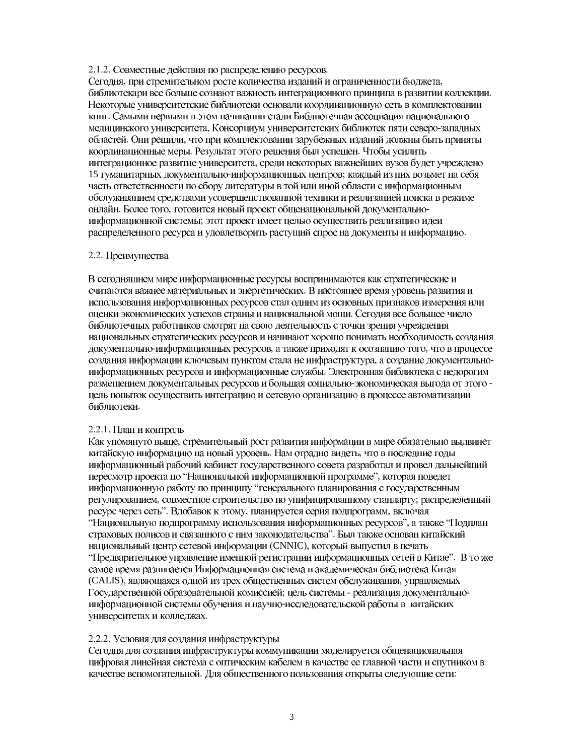#### 2.1.2. Совместные действия по распределению ресурсов.

Сегодня, при стремительном росте количества изданий и ограниченности бюджета, библиотекари все больше сознают важность интеграционного принципа в развитии коллекции. Некоторые университетские библиотеки основали координационную сеть в комплектовании книг. Самыми первыми в этом начинании стали Библиотечная ассоциация национального медицинского университета, Консорциум университетских библиотек пяти северо-западных областей. Они решили, что при комплектовании зарубежных изданий должны быть приняты координационные меры. Результат этого решения был успешен. Чтобы усилить интеграционное развитие университета, среди некоторых важнейших вузов будет учреждено 15 гуманитарных документально-информационных центров; каждый из них возьмет на себя часть ответственности по сбору литературы в той или иной области с информационным обслуживанием средствами усовершенствованной техники и реализацией поиска в режиме онлайн. Более того, готовится новый проект общенациональной документальноинформационной системы; этот проект имеет целью осуществить реализацию идеи распределенного ресурса и удовлетворить растущий спрос на документы и информацию.

#### 2.2. Преимущества

В сегодняшнем мире информационные ресурсы воспринимаются как стратегические и считаются важнее материальных и энергетических. В настоящее время уровень развития и использования информационных ресурсов стал одним из основных признаков измерения или оценки экономических успехов страны и национальной мощи. Сегодня все большее число библиотечных работников смотрят на свою деятельность с точки зрения учреждения национальных стратегических ресурсов и начинают хорошо понимать необходимость создания документально-информационных ресурсов, а также приходят к осознанию того, что в процессе создания информации ключевым пунктом стала не инфраструктура, а создание документальноинформационных ресурсов и информационные службы. Электронная библиотека с недорогим размещением документальных ресурсов и большая социально-экономическая выгода от этого цель попыток осуществить интеграцию и сетевую организацию в процессе автоматизации библиотеки.

# 2.2.1. План и контроль

Как упомянуто выше, стремительный рост развития информации в мире обязательно выдвинет китайскую информацию на новый уровень. Нам отрадно видеть, что в последние годы информационный рабочий кабинет государственного совета разработал и провел дальнейший пересмотр проекта по "Национальной информационной программе", которая поведет информационную работу по принципу "генерального планирования с государственным регулированием, совместное строительство по унифицированному стандарту; распределенный ресурс через сеть". Вдобавок к этому, планируется серия подпрограмм, включая "Национальную подпрограмму использования информационных ресурсов", а также "Подплан страховых полисов и связанного с ним законодательства". Был также основан китайский национальный центр сетевой информации (CNNIC), который выпустил в печать "Предварительное управление именной регистрации информационных сетей в Китае". В то же самое время развивается Информационная система и академическая библиотека Китая (CALIS), являющаяся одной из трех общественных систем обслуживания, управляемых Государственной образовательной комиссией; цель системы - реализация документальноинформационной системы обучения и научно-исследовательской работы в китайских университетах и колледжах.

# 2.2.2. Условия для создания инфраструктуры

Сегодня для создания инфраструктуры коммуникации моделируется общенациональная цифровая линейная система с оптическим кабелем в качестве ее главной части и спутником в качестве вспомогательной. Для общественного пользования открыты следующие сети: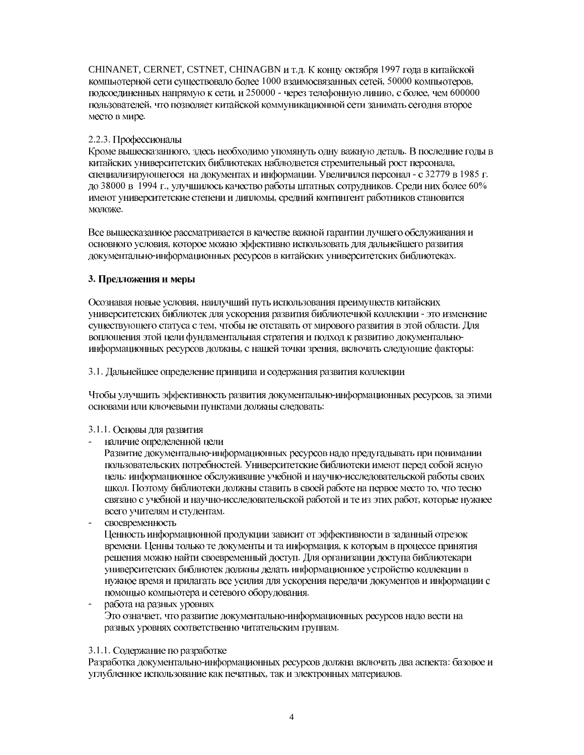CHINANET, CERNET, CSTNET, CHINAGBN и т.д. К концу октября 1997 года в китайской компьютерной сети существовало более 1000 взаимосвязанных сетей, 50000 компьютеров, подсоединенных напрямую к сети, и 250000 - через телефонную линию, с более, чем 600000 пользователей, что позволяет китайской коммуникационной сети занимать сегодня второе место в мире.

# 2.2.3. Профессионалы

Кроме вышесказанного, здесь необходимо упомянуть одну важную деталь. В последние годы в китайских университетских библиотеках наблюдается стремительный рост персонала, специализирующегося на документах и информации. Увеличился персонал - с 32779 в 1985 г. до 38000 в 1994 г., улучшилось качество работы штатных сотрудников. Среди них более 60% имеют университетские степени и дипломы, средний контингент работников становится моложе.

Все вышесказанное рассматривается в качестве важной гарантии лучшего обслуживания и основного условия, которое можно эффективно использовать для дальнейшего развития документально-информационных ресурсов в китайских университетских библиотеках.

#### 3. Предложения и меры

Осознавая новые условия, наилучший путь использования преимуществ китайских университетских библиотек для ускорения развития библиотечной коллекции - это изменение существующего статуса с тем, чтобы не отставать от мирового развития в этой области. Для воплощения этой цели фундаментальная стратегия и подход к развитию документальноинформационных ресурсов должны, с нашей точки зрения, включать следующие факторы:

#### 3.1. Дальнейшее определение принципа и содержания развития коллекции

Чтобы улучшить эффективность развития документально-информационных ресурсов, за этими основами или ключевыми пунктами должны следовать:

#### 3.1.1. Основы для развития

- наличие определенной цели
- Развитие документально-информационных ресурсов надо предугадывать при понимании пользовательских потребностей. Университетские библиотеки имеют перед собой ясную цель: информационное обслуживание учебной и научно-исследовательской работы своих школ. Поэтому библиотеки должны ставить в своей работе на первое место то, что тесно связано с учебной и научно-исследовательской работой и те из этих работ, которые нужнее всего учителям и студентам.
- своевременность

Ценность информационной продукции зависит от эффективности в заданный отрезок времени. Ценны только те документы и та информация, к которым в процессе принятия решения можно найти своевременный доступ. Для организации доступа библиотекари университетских библиотек должны делать информационное устройство коллекции в нужное время и прилагать все усилия для ускорения передачи документов и информации с помощью компьютера и сетевого оборудования.

работа на разных уровнях Это означает, что развитие документально-информационных ресурсов надо вести на разных уровнях соответственно читательским группам.

#### 3.1.1. Содержание по разработке

Разработка документально-информационных ресурсов должна включать два аспекта: базовое и углубленное использование как печатных, так и электронных материалов.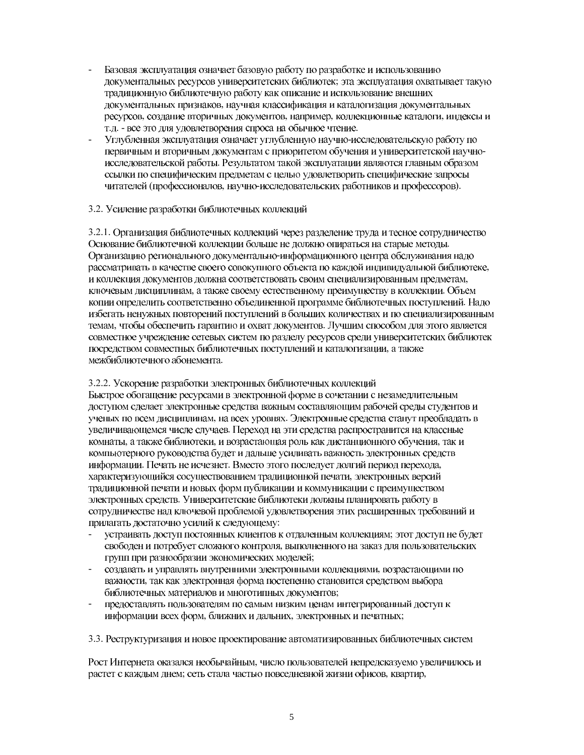- Базовая эксплуатация означает базовую работу по разработке и использованию документальных ресурсов университетских библиотек; эта эксплуатация охватывает такую традиционную библиотечную работу как описание и использование внешних документальных признаков, научная классификация и каталогизация документальных ресурсов, создание вторичных документов, например, коллекционные каталоги, индексы и т.д. - все это для удовлетворения спроса на обычное чтение.
- Углубленная эксплуатация означает углубленную научно-исследовательскую работу по первичным и вторичным документам с приоритетом обучения и университетской научноисследовательской работы. Результатом такой эксплуатации являются главным образом ссылки по специфическим предметам с целью удовлетворить специфические запросы читателей (профессионалов, научно-исследовательских работников и профессоров).

#### 3.2. Усиление разработки библиотечных коллекций

3.2.1. Организация библиотечных коллекций через разделение труда и тесное сотрудничество Основание библиотечной коллекции больше не должно опираться на старые методы. Организацию регионального документально-информационного центра обслуживания надо рассматривать в качестве своего совокупного объекта по каждой индивидуальной библиотеке, и коллекция документов должна соответствовать своим специализированным предметам, ключевым дисциплинам, а также своему естественному преимуществу в коллекции. Объем копии определить соответственно объединенной программе библиотечных поступлений. Надо избегать ненужных повторений поступлений в больших количествах и по специализированным темам, чтобы обеспечить гарантию и охват документов. Лучшим способом для этого является совместное учреждение сетевых систем по разделу ресурсов среди университетских библиотек посредством совместных библиотечных поступлений и каталогизации, а также межбиблиотечного абонемента.

#### 3.2.2. Ускорение разработки электронных библиотечных коллекций

Быстрое обогащение ресурсами в электронной форме в сочетании с незамедлительным доступом сделает электронные средства важным составляющим рабочей среды студентов и ученых по всем дисциплинам, на всех уровнях. Электронные средства станут преобладать в увеличивающемся числе случаев. Переход на эти средства распространится на классные комнаты, а также библиотеки, и возрастающая роль как дистанционного обучения, так и компьютерного руководства будет и дальше усиливать важность электронных средств информации. Печать не исчезнет. Вместо этого последует долгий период перехода, характеризующийся сосуществованием традиционной печати, электронных версий традиционной печати и новых форм публикации и коммуникации с преимуществом электронных средств. Университетские библиотеки должны планировать работу в сотрудничестве над ключевой проблемой удовлетворения этих расширенных требований и прилагать достаточно усилий к следующему:

- устраивать доступ постоянных клиентов к отдаленным коллекциям; этот доступ не будет свободен и потребует сложного контроля, выполненного на заказ для пользовательских групп при разнообразии экономических моделей;
- создавать и управлять внутренними электронными коллекциями, возрастающими по важности, так как электронная форма постепенно становится средством выбора библиотечных материалов и многотипных документов;
- предоставлять пользователям по самым низким ценам интегрированный доступ к информации всех форм, ближних и дальних, электронных и печатных;

3.3. Реструктуризация и новое проектирование автоматизированных библиотечных систем

Рост Интернета оказался необычайным, число пользователей непредсказуемо увеличилось и растет с каждым днем; сеть стала частью повседневной жизни офисов, квартир,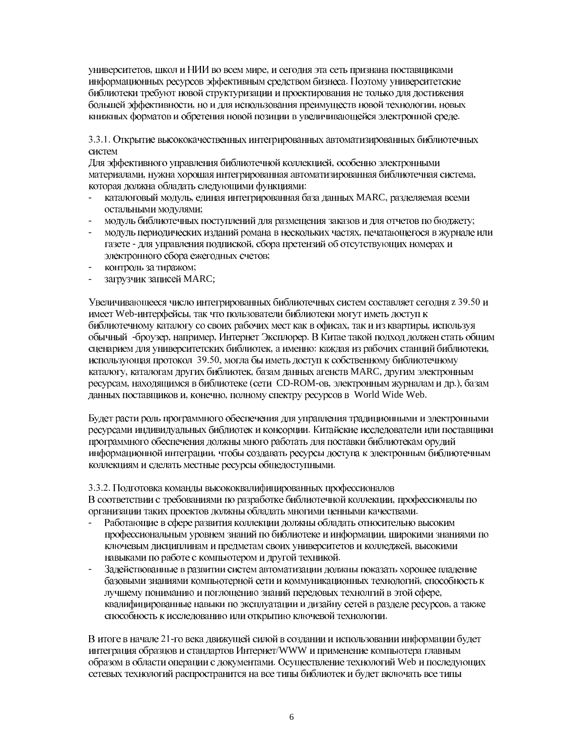университетов, школ и НИИ во всем мире, и сегодня эта сеть признана поставщиками информационных ресурсов эффективным средством бизнеса. Поэтому университетские библиотеки требуют новой структуризации и проектирования не только для достижения большей эффективности, но и для использования преимуществ новой технологии, новых книжных форматов и обретения новой позиции в увеличивающейся электронной среде.

3.3.1. Открытие высококачественных интегрированных автоматизированных библиотечных систем

Для эффективного управления библиотечной коллекцией, особенно электронными материалами, нужна хорошая интегрированная автоматизированная библиотечная система, которая должна обладать следующими функциями:

- каталоговый модуль, единая интегрированная база данных MARC, разделяемая всеми остальными модулями:
- модуль библиотечных поступлений для размещения заказов и для отчетов по бюджету;
- модуль периодических изданий романа в нескольких частях, печатающегося в журнале или газете - для управления подпиской, сбора претензий об отсутствующих номерах и электронного сбора ежегодных счетов;
- контроль за тиражом;
- загрузчик записей MARC;

Увеличивающееся число интегрированных библиотечных систем составляет сегодня z 39.50 и имеет Web-интерфейсы, так что пользователи библиотеки могут иметь доступ к библиотечному каталогу со своих рабочих мест как в офисах, так и из квартиры, используя обычный -броузер, например, Интернет Эксплорер. В Китае такой подход должен стать общим сценарием для университетских библиотек, а именно: каждая из рабочих станций библиотеки, использующая протокол 39.50, могла бы иметь доступ к собственному библиотечному каталогу, каталогам других библиотек, базам данных агенств MARC, другим электронным ресурсам, находящимся в библиотеке (сети CD-ROM-ов, электронным журналам и др.), базам данных поставщиков и, конечно, полному спектру ресурсов в World Wide Web.

Будет расти роль программного обеспечения для управления традиционными и электронными ресурсами индивидуальных библиотек и консорции. Китайские исследователи или поставщики программного обеспечения должны много работать для поставки библиотекам орудий информационной интеграции, чтобы создавать ресурсы доступа к электронным библиотечным коллекциям и сделать местные ресурсы общедоступными.

3.3.2. Подготовка команды высококвалифицированных профессионалов

В соответствии с требованиями по разработке библиотечной коллекции, профессионалы по организации таких проектов должны обладать многими ценными качествами.

- Работающие в сфере развития коллекции должны обладать относительно высоким профессиональным уровнем знаний по библиотеке и информации, широкими знаниями по ключевым дисциплинам и предметам своих университетов и колледжей, высокими навыками по работе с компьютером и другой техникой.
- Задействованные в развитии систем автоматизации должны показать хорошее владение базовыми знаниями компьютерной сети и коммуникационных технологий, способность к лучшему пониманию и поглощению знаний передовых технолгий в этой сфере, квалифицированные навыки по эксплуатации и дизайну сетей в разделе ресурсов, а также способность к исследованию или открытию ключевой технологии.

В итоге в начале 21-го века движущей силой в создании и использовании информации будет интеграция образцов и стандартов Интернет/WWW и применение компьютера главным образом в области операции с документами. Осуществление технологий Web и последующих сетевых технологий распространится на все типы библиотек и будет включать все типы